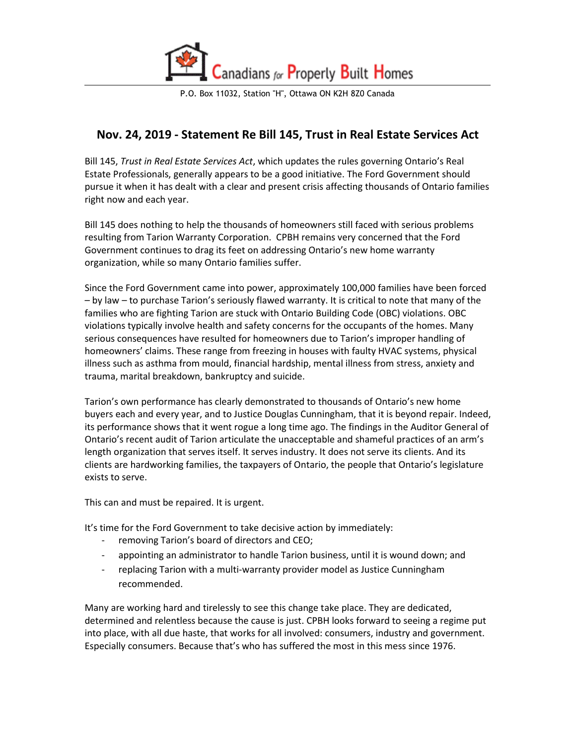

P.O. Box 11032, Station "H", Ottawa ON K2H 8Z0 Canada

## **Nov. 24, 2019 - Statement Re Bill 145, Trust in Real Estate Services Act**

Bill 145, *Trust in Real Estate Services Act*, which updates the rules governing Ontario's Real Estate Professionals, generally appears to be a good initiative. The Ford Government should pursue it when it has dealt with a clear and present crisis affecting thousands of Ontario families right now and each year.

Bill 145 does nothing to help the thousands of homeowners still faced with serious problems resulting from Tarion Warranty Corporation. CPBH remains very concerned that the Ford Government continues to drag its feet on addressing Ontario's new home warranty organization, while so many Ontario families suffer.

Since the Ford Government came into power, approximately 100,000 families have been forced – by law – to purchase Tarion's seriously flawed warranty. It is critical to note that many of the families who are fighting Tarion are stuck with Ontario Building Code (OBC) violations. OBC violations typically involve health and safety concerns for the occupants of the homes. Many serious consequences have resulted for homeowners due to Tarion's improper handling of homeowners' claims. These range from freezing in houses with faulty HVAC systems, physical illness such as asthma from mould, financial hardship, mental illness from stress, anxiety and trauma, marital breakdown, bankruptcy and suicide.

Tarion's own performance has clearly demonstrated to thousands of Ontario's new home buyers each and every year, and to Justice Douglas Cunningham, that it is beyond repair. Indeed, its performance shows that it went rogue a long time ago. The findings in the Auditor General of Ontario's recent audit of Tarion articulate the unacceptable and shameful practices of an arm's length organization that serves itself. It serves industry. It does not serve its clients. And its clients are hardworking families, the taxpayers of Ontario, the people that Ontario's legislature exists to serve.

This can and must be repaired. It is urgent.

It's time for the Ford Government to take decisive action by immediately:

- removing Tarion's board of directors and CEO;
- appointing an administrator to handle Tarion business, until it is wound down; and
- replacing Tarion with a multi-warranty provider model as Justice Cunningham recommended.

Many are working hard and tirelessly to see this change take place. They are dedicated, determined and relentless because the cause is just. CPBH looks forward to seeing a regime put into place, with all due haste, that works for all involved: consumers, industry and government. Especially consumers. Because that's who has suffered the most in this mess since 1976.